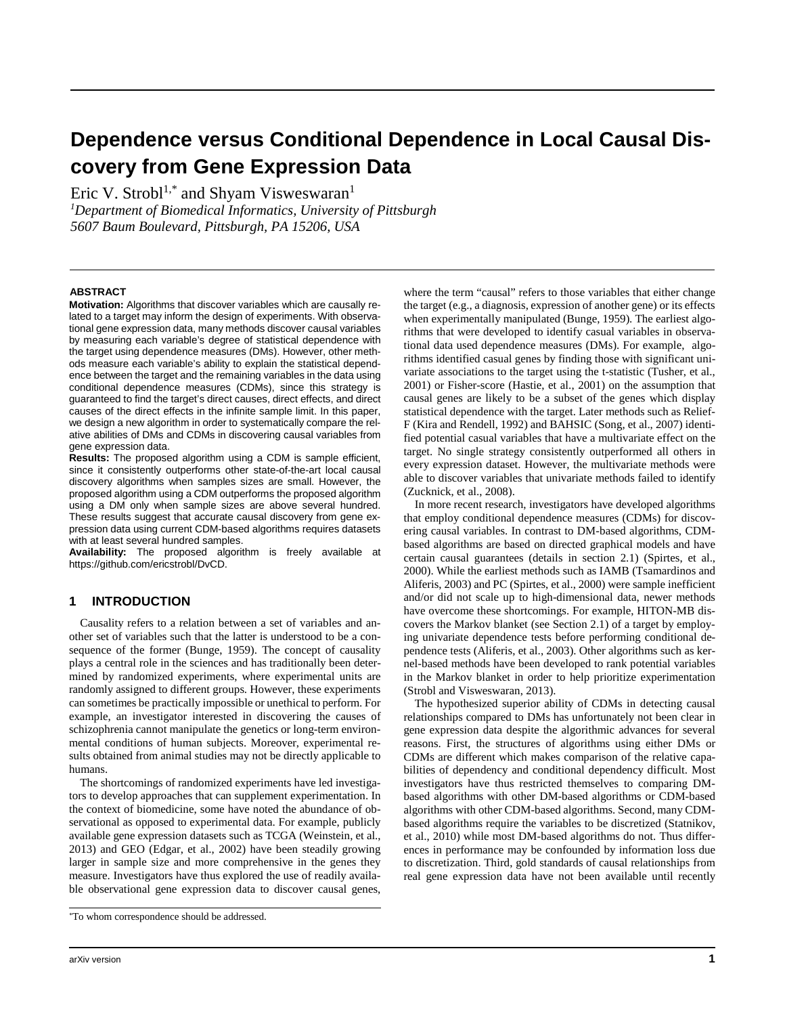# **Dependence versus Conditional Dependence in Local Causal Discovery from Gene Expression Data**

Eric V. Strobl<sup>1,\*</sup> and Shyam Visweswaran<sup>1</sup>

*1 Department of Biomedical Informatics, University of Pittsburgh 5607 Baum Boulevard, Pittsburgh, PA 15206, USA*

## **ABSTRAC[T](#page-0-0)**

**Motivation:** Algorithms that discover variables which are causally related to a target may inform the design of experiments. With observational gene expression data, many methods discover causal variables by measuring each variable's degree of statistical dependence with the target using dependence measures (DMs). However, other methods measure each variable's ability to explain the statistical dependence between the target and the remaining variables in the data using conditional dependence measures (CDMs), since this strategy is guaranteed to find the target's direct causes, direct effects, and direct causes of the direct effects in the infinite sample limit. In this paper, we design a new algorithm in order to systematically compare the relative abilities of DMs and CDMs in discovering causal variables from gene expression data.

**Results:** The proposed algorithm using a CDM is sample efficient, since it consistently outperforms other state-of-the-art local causal discovery algorithms when samples sizes are small. However, the proposed algorithm using a CDM outperforms the proposed algorithm using a DM only when sample sizes are above several hundred. These results suggest that accurate causal discovery from gene expression data using current CDM-based algorithms requires datasets with at least several hundred samples.

**Availability:** The proposed algorithm is freely available at https://github.com/ericstrobl/DvCD.

## **1 INTRODUCTION**

Causality refers to a relation between a set of variables and another set of variables such that the latter is understood to be a consequence of the former [\(Bunge, 1959\)](#page-6-0). The concept of causality plays a central role in the sciences and has traditionally been determined by randomized experiments, where experimental units are randomly assigned to different groups. However, these experiments can sometimes be practically impossible or unethical to perform. For example, an investigator interested in discovering the causes of schizophrenia cannot manipulate the genetics or long-term environmental conditions of human subjects. Moreover, experimental results obtained from animal studies may not be directly applicable to humans.

The shortcomings of randomized experiments have led investigators to develop approaches that can supplement experimentation. In the context of biomedicine, some have noted the abundance of observational as opposed to experimental data. For example, publicly available gene expression datasets such as TCGA [\(Weinstein, et al.,](#page-6-1)  [2013\)](#page-6-1) and GEO [\(Edgar, et al., 2002\)](#page-6-2) have been steadily growing larger in sample size and more comprehensive in the genes they measure. Investigators have thus explored the use of readily available observational gene expression data to discover causal genes, where the term "causal" refers to those variables that either change the target (e.g., a diagnosis, expression of another gene) or its effects when experimentally manipulated [\(Bunge, 1959\)](#page-6-0). The earliest algorithms that were developed to identify casual variables in observational data used dependence measures (DMs). For example, algorithms identified casual genes by finding those with significant univariate associations to the target using the t-statistic [\(Tusher, et al.,](#page-6-3)  [2001\)](#page-6-3) or Fisher-score [\(Hastie, et al., 2001\)](#page-6-4) on the assumption that causal genes are likely to be a subset of the genes which display statistical dependence with the target. Later methods such as Relief-F [\(Kira and Rendell, 1992\)](#page-6-5) and BAHSIC [\(Song, et al., 2007\)](#page-6-6) identified potential casual variables that have a multivariate effect on the target. No single strategy consistently outperformed all others in every expression dataset. However, the multivariate methods were able to discover variables that univariate methods failed to identify [\(Zucknick, et al., 2008\)](#page-6-7).

In more recent research, investigators have developed algorithms that employ conditional dependence measures (CDMs) for discovering causal variables. In contrast to DM-based algorithms, CDMbased algorithms are based on directed graphical models and have certain causal guarantees (details in section 2.1) [\(Spirtes, et al.,](#page-6-8)  [2000\)](#page-6-8). While the earliest methods such as IAMB [\(Tsamardinos and](#page-6-9)  [Aliferis, 2003\)](#page-6-9) and PC [\(Spirtes, et al., 2000\)](#page-6-8) were sample inefficient and/or did not scale up to high-dimensional data, newer methods have overcome these shortcomings. For example, HITON-MB discovers the Markov blanket (see Section 2.1) of a target by employing univariate dependence tests before performing conditional dependence tests [\(Aliferis, et al., 2003\)](#page-6-10). Other algorithms such as kernel-based methods have been developed to rank potential variables in the Markov blanket in order to help prioritize experimentation [\(Strobl and Visweswaran, 2013\)](#page-6-11).

The hypothesized superior ability of CDMs in detecting causal relationships compared to DMs has unfortunately not been clear in gene expression data despite the algorithmic advances for several reasons. First, the structures of algorithms using either DMs or CDMs are different which makes comparison of the relative capabilities of dependency and conditional dependency difficult. Most investigators have thus restricted themselves to comparing DMbased algorithms with other DM-based algorithms or CDM-based algorithms with other CDM-based algorithms. Second, many CDMbased algorithms require the variables to be discretized [\(Statnikov,](#page-6-12)  [et al., 2010\)](#page-6-12) while most DM-based algorithms do not. Thus differences in performance may be confounded by information loss due to discretization. Third, gold standards of causal relationships from real gene expression data have not been available until recently

<span id="page-0-0"></span><sup>\*</sup>To whom correspondence should be addressed.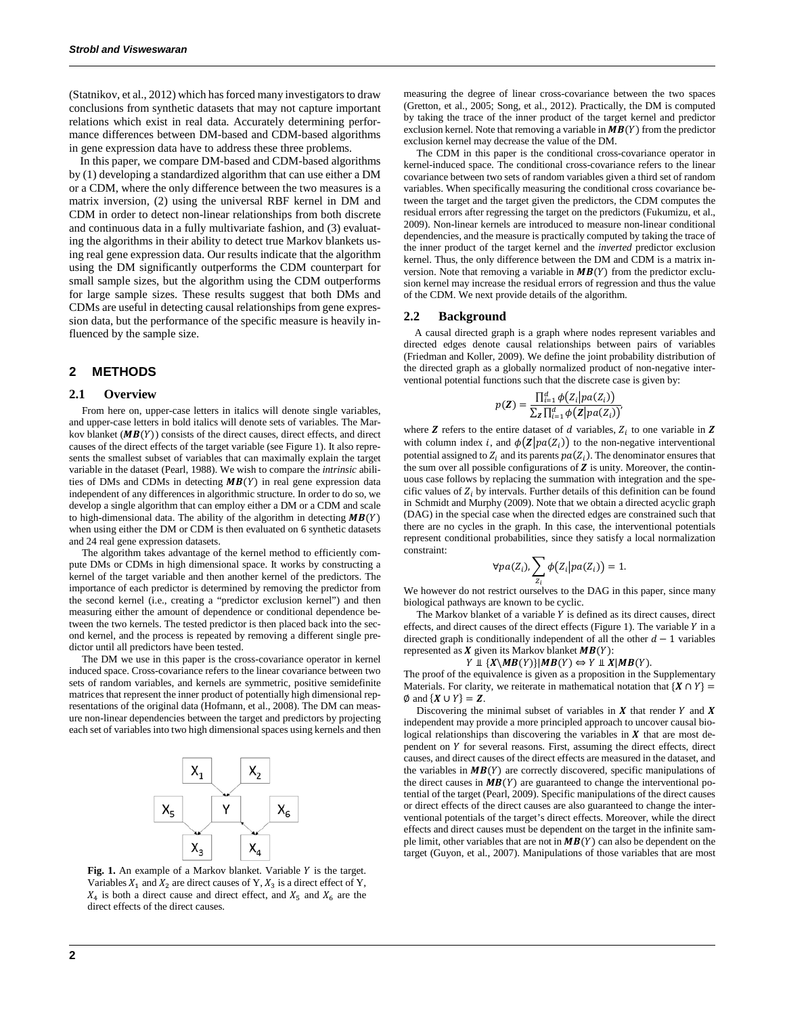[\(Statnikov, et al., 2012\)](#page-6-13) which has forced many investigators to draw conclusions from synthetic datasets that may not capture important relations which exist in real data. Accurately determining performance differences between DM-based and CDM-based algorithms in gene expression data have to address these three problems.

In this paper, we compare DM-based and CDM-based algorithms by (1) developing a standardized algorithm that can use either a DM or a CDM, where the only difference between the two measures is a matrix inversion, (2) using the universal RBF kernel in DM and CDM in order to detect non-linear relationships from both discrete and continuous data in a fully multivariate fashion, and (3) evaluating the algorithms in their ability to detect true Markov blankets using real gene expression data. Our results indicate that the algorithm using the DM significantly outperforms the CDM counterpart for small sample sizes, but the algorithm using the CDM outperforms for large sample sizes. These results suggest that both DMs and CDMs are useful in detecting causal relationships from gene expression data, but the performance of the specific measure is heavily influenced by the sample size.

## **2 METHODS**

## **2.1 Overview**

From here on, upper-case letters in italics will denote single variables, and upper-case letters in bold italics will denote sets of variables. The Markov blanket ( $MB(Y)$ ) consists of the direct causes, direct effects, and direct causes of the direct effects of the target variable (see Figure 1). It also represents the smallest subset of variables that can maximally explain the target variable in the dataset [\(Pearl, 1988\)](#page-6-14). We wish to compare the *intrinsic* abilities of DMs and CDMs in detecting  $MB(Y)$  in real gene expression data independent of any differences in algorithmic structure. In order to do so, we develop a single algorithm that can employ either a DM or a CDM and scale to high-dimensional data. The ability of the algorithm in detecting  $MB(Y)$ when using either the DM or CDM is then evaluated on 6 synthetic datasets and 24 real gene expression datasets.

The algorithm takes advantage of the kernel method to efficiently compute DMs or CDMs in high dimensional space. It works by constructing a kernel of the target variable and then another kernel of the predictors. The importance of each predictor is determined by removing the predictor from the second kernel (i.e., creating a "predictor exclusion kernel") and then measuring either the amount of dependence or conditional dependence between the two kernels. The tested predictor is then placed back into the second kernel, and the process is repeated by removing a different single predictor until all predictors have been tested.

The DM we use in this paper is the cross-covariance operator in kernel induced space. Cross-covariance refers to the linear covariance between two sets of random variables, and kernels are symmetric, positive semidefinite matrices that represent the inner product of potentially high dimensional representations of the original data [\(Hofmann, et al., 2008\)](#page-6-15). The DM can measure non-linear dependencies between the target and predictors by projecting each set of variables into two high dimensional spaces using kernels and then



Fig. 1. An example of a Markov blanket. Variable Y is the target. Variables  $X_1$  and  $X_2$  are direct causes of Y,  $X_3$  is a direct effect of Y,  $X_4$  is both a direct cause and direct effect, and  $X_5$  and  $X_6$  are the direct effects of the direct causes.

measuring the degree of linear cross-covariance between the two spaces [\(Gretton, et al., 2005;](#page-6-16) [Song, et al., 2012\)](#page-6-17). Practically, the DM is computed by taking the trace of the inner product of the target kernel and predictor exclusion kernel. Note that removing a variable in  $MB(Y)$  from the predictor exclusion kernel may decrease the value of the DM.

The CDM in this paper is the conditional cross-covariance operator in kernel-induced space. The conditional cross-covariance refers to the linear covariance between two sets of random variables given a third set of random variables. When specifically measuring the conditional cross covariance between the target and the target given the predictors, the CDM computes the residual errors after regressing the target on the predictors [\(Fukumizu, et al.,](#page-6-18)  [2009\)](#page-6-18). Non-linear kernels are introduced to measure non-linear conditional dependencies, and the measure is practically computed by taking the trace of the inner product of the target kernel and the *inverted* predictor exclusion kernel. Thus, the only difference between the DM and CDM is a matrix inversion. Note that removing a variable in  $MB(Y)$  from the predictor exclusion kernel may increase the residual errors of regression and thus the value of the CDM. We next provide details of the algorithm.

#### **2.2 Background**

A causal directed graph is a graph where nodes represent variables and directed edges denote causal relationships between pairs of variables [\(Friedman and Koller, 2009\)](#page-6-19). We define the joint probability distribution of the directed graph as a globally normalized product of non-negative interventional potential functions such that the discrete case is given by:

$$
p(\mathbf{Z}) = \frac{\prod_{i=1}^{d} \phi(Z_i | pa(Z_i))}{\sum_{\mathbf{Z}} \prod_{i=1}^{d} \phi(\mathbf{Z} | pa(Z_i))'}
$$

where  $Z$  refers to the entire dataset of  $d$  variables,  $Z_i$  to one variable in  $Z$ with column index *i*, and  $\phi(\mathbf{Z} | pa(Z_i))$  to the non-negative interventional potential assigned to  $Z_i$  and its parents  $pa(Z_i)$ . The denominator ensures that the sum over all possible configurations of  $Z$  is unity. Moreover, the continuous case follows by replacing the summation with integration and the specific values of  $Z_i$  by intervals. Further details of this definition can be found in Schmidt and Murphy [\(2009\)](#page-6-20). Note that we obtain a directed acyclic graph (DAG) in the special case when the directed edges are constrained such that there are no cycles in the graph. In this case, the interventional potentials represent conditional probabilities, since they satisfy a local normalization constraint:

$$
\forall pa(Z_i), \sum_{z_i} \phi(Z_i|pa(Z_i)) = 1.
$$

We however do not restrict ourselves to the DAG in this paper, since many biological pathways are known to be cyclic.

The Markov blanket of a variable  $Y$  is defined as its direct causes, direct effects, and direct causes of the direct effects (Figure 1). The variable  $Y$  in a directed graph is conditionally independent of all the other  $d - 1$  variables represented as  $X$  given its Markov blanket  $MB(Y)$ :

#### $Y \perp \{X \setminus MB(Y)\} | MB(Y) \Leftrightarrow Y \perp X | MB(Y).$

The proof of the equivalence is given as a proposition in the Supplementary Materials. For clarity, we reiterate in mathematical notation that  $\{X \cap Y\}$  =  $\emptyset$  and  $\{X \cup Y\} = Z$ .

Discovering the minimal subset of variables in  $X$  that render  $Y$  and  $X$ independent may provide a more principled approach to uncover causal biological relationships than discovering the variables in  $X$  that are most dependent on Y for several reasons. First, assuming the direct effects, direct causes, and direct causes of the direct effects are measured in the dataset, and the variables in  $MB(Y)$  are correctly discovered, specific manipulations of the direct causes in  $MB(Y)$  are guaranteed to change the interventional potential of the target [\(Pearl, 2009\)](#page-6-21). Specific manipulations of the direct causes or direct effects of the direct causes are also guaranteed to change the interventional potentials of the target's direct effects. Moreover, while the direct effects and direct causes must be dependent on the target in the infinite sample limit, other variables that are not in  $MB(Y)$  can also be dependent on the target [\(Guyon, et al., 2007\)](#page-6-22). Manipulations of those variables that are most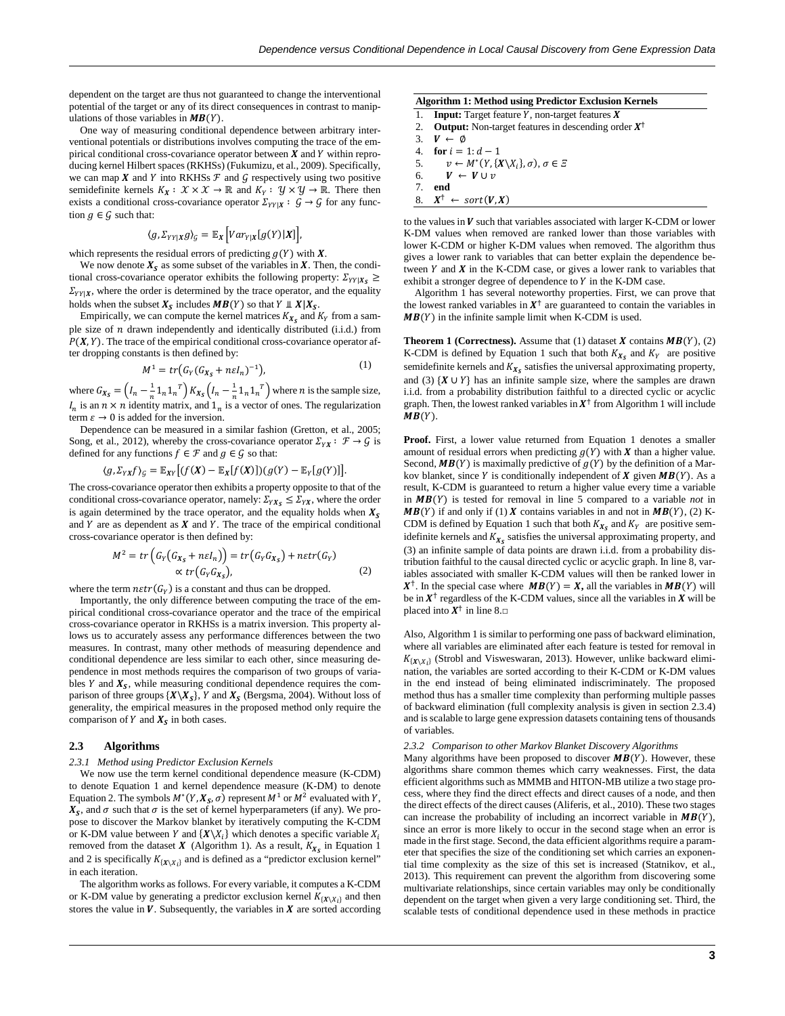dependent on the target are thus not guaranteed to change the interventional potential of the target or any of its direct consequences in contrast to manipulations of those variables in  $MB(Y)$ .

One way of measuring conditional dependence between arbitrary interventional potentials or distributions involves computing the trace of the empirical conditional cross-covariance operator between  $X$  and  $Y$  within reproducing kernel Hilbert spaces (RKHSs) [\(Fukumizu, et al., 2009\)](#page-6-18). Specifically, we can map  $X$  and  $Y$  into RKHSs  $\mathcal F$  and  $\mathcal G$  respectively using two positive semidefinite kernels  $K_X: \mathcal{X} \times \mathcal{X} \to \mathbb{R}$  and  $K_Y: \mathcal{Y} \times \mathcal{Y} \to \mathbb{R}$ . There then exists a conditional cross-covariance operator  $\Sigma_{YY|X}: \mathcal{G} \to \mathcal{G}$  for any function  $g \in \mathcal{G}$  such that:

$$
\langle g, \Sigma_{YY|X} g \rangle_{\mathcal{G}} = \mathbb{E}_X \left[ Var_{Y|X} [g(Y)|X] \right],
$$

which represents the residual errors of predicting  $g(Y)$  with  $X$ .

We now denote  $X<sub>S</sub>$  as some subset of the variables in X. Then, the conditional cross-covariance operator exhibits the following property:  $\sum_{YY|X_S} \ge$  $\Sigma_{YY|X}$ , where the order is determined by the trace operator, and the equality holds when the subset  $X_s$  includes  $MB(Y)$  so that  $Y \perp X | X_s$ .

Empirically, we can compute the kernel matrices  $K_{X_s}$  and  $K_Y$  from a sample size of  $n$  drawn independently and identically distributed (i.i.d.) from  $P(X, Y)$ . The trace of the empirical conditional cross-covariance operator after dropping constants is then defined by:

$$
M^1 = tr\big(G_Y(G_{X_S} + n\varepsilon I_n)^{-1}\big),\tag{1}
$$

where  $G_{X_S} = \left(I_n - \frac{1}{n}1_n1_n^T\right)K_{X_S}\left(I_n - \frac{1}{n}1_n1_n^T\right)$  where *n* is the sample size,  $I_n$  is an  $n \times n$  identity matrix, and  $1_n$  is a vector of ones. The regularization term  $\varepsilon \to 0$  is added for the inversion.

Dependence can be measured in a similar fashion [\(Gretton, et al., 2005;](#page-6-16)  [Song, et al., 2012\)](#page-6-17), whereby the cross-covariance operator  $\Sigma_{YX} : \mathcal{F} \to \mathcal{G}$  is defined for any functions  $f \in \mathcal{F}$  and  $g \in \mathcal{G}$  so that:

$$
\langle g, \Sigma_{YX} f \rangle_{\mathcal{G}} = \mathbb{E}_{XY} \big[ (f(X) - \mathbb{E}_{X} [f(X)])(g(Y) - \mathbb{E}_{Y} [g(Y)] \big].
$$

The cross-covariance operator then exhibits a property opposite to that of the conditional cross-covariance operator, namely:  $\Sigma_{YX_S} \leq \Sigma_{YX}$ , where the order is again determined by the trace operator, and the equality holds when  $X<sub>S</sub>$ and  $Y$  are as dependent as  $X$  and  $Y$ . The trace of the empirical conditional cross-covariance operator is then defined by:

$$
M^{2} = tr(G_{Y}(G_{X_{S}} + n\epsilon I_{n})) = tr(G_{Y}G_{X_{S}}) + n\epsilon tr(G_{Y})
$$
  
 
$$
\propto tr(G_{Y}G_{X_{S}}),
$$
 (2)

where the term  $n \epsilon tr(G_Y)$  is a constant and thus can be dropped.

Importantly, the only difference between computing the trace of the empirical conditional cross-covariance operator and the trace of the empirical cross-covariance operator in RKHSs is a matrix inversion. This property allows us to accurately assess any performance differences between the two measures. In contrast, many other methods of measuring dependence and conditional dependence are less similar to each other, since measuring dependence in most methods requires the comparison of two groups of variables  $Y$  and  $X<sub>S</sub>$ , while measuring conditional dependence requires the comparison of three groups  $\{X \setminus X_S\}$ , Y and  $X_S$  [\(Bergsma, 2004\)](#page-6-23). Without loss of generality, the empirical measures in the proposed method only require the comparison of  $Y$  and  $X<sub>S</sub>$  in both cases.

#### **2.3 Algorithms**

#### *2.3.1 Method using Predictor Exclusion Kernels*

We now use the term kernel conditional dependence measure (K-CDM) to denote Equation 1 and kernel dependence measure (K-DM) to denote Equation 2. The symbols  $M^*(Y, X_S, \sigma)$  represent  $M^1$  or  $M^2$  evaluated with Y,  $\overline{X_s}$ , and  $\sigma$  such that  $\sigma$  is the set of kernel hyperparameters (if any). We propose to discover the Markov blanket by iteratively computing the K-CDM or K-DM value between Y and  ${\{X \backslash X_i\}}$  which denotes a specific variable  $X_i$ removed from the dataset  $X$  (Algorithm 1). As a result,  $K_{X_s}$  in Equation 1 and 2 is specifically  $K_{\{X \setminus X_i\}}$  and is defined as a "predictor exclusion kernel" in each iteration.

The algorithm works as follows. For every variable, it computes a K-CDM or K-DM value by generating a predictor exclusion kernel  $K_{\{X \setminus X_i\}}$  and then stores the value in  $V$ . Subsequently, the variables in  $X$  are sorted according

| <b>Algorithm 1: Method using Predictor Exclusion Kernels</b> |                                                                         |  |  |
|--------------------------------------------------------------|-------------------------------------------------------------------------|--|--|
|                                                              | 1. <b>Input:</b> Target feature Y, non-target features $X$              |  |  |
|                                                              | 2. <b>Output:</b> Non-target features in descending order $X^{\dagger}$ |  |  |
|                                                              | 3. $V \leftarrow \emptyset$                                             |  |  |
|                                                              | .                                                                       |  |  |

4. **for**  $i = 1:d - 1$ <br>5.  $v \leftarrow M^*(Y, \Omega)$ 

5. 
$$
v \leftarrow M^*(Y, \{X \setminus X_i\}, \sigma), \sigma \in \Xi
$$
  
6.  $V \leftarrow V \cup v$ 

$$
7. \quad end
$$

8.  $X^{\dagger} \leftarrow sort(V,X)$ 

to the values in  $V$  such that variables associated with larger K-CDM or lower K-DM values when removed are ranked lower than those variables with lower K-CDM or higher K-DM values when removed. The algorithm thus gives a lower rank to variables that can better explain the dependence between  $Y$  and  $X$  in the K-CDM case, or gives a lower rank to variables that exhibit a stronger degree of dependence to  $Y$  in the K-DM case.

Algorithm 1 has several noteworthy properties. First, we can prove that the lowest ranked variables in  $X^{\dagger}$  are guaranteed to contain the variables in  $MB(Y)$  in the infinite sample limit when K-CDM is used.

**Theorem 1 (Correctness).** Assume that (1) dataset  $X$  contains  $MB(Y)$ , (2) K-CDM is defined by Equation 1 such that both  $K_{X_s}$  and  $K_Y$  are positive semidefinite kernels and  $K_{X_s}$  satisfies the universal approximating property, and (3)  $\{X \cup Y\}$  has an infinite sample size, where the samples are drawn i.i.d. from a probability distribution faithful to a directed cyclic or acyclic graph. Then, the lowest ranked variables in  $X^{\dagger}$  from Algorithm 1 will include  $MB(Y)$ .

Proof. First, a lower value returned from Equation 1 denotes a smaller amount of residual errors when predicting  $g(Y)$  with  $X$  than a higher value. Second,  $MB(Y)$  is maximally predictive of  $g(Y)$  by the definition of a Markov blanket, since Y is conditionally independent of  $X$  given  $MB(Y)$ . As a result, K-CDM is guaranteed to return a higher value every time a variable in  $MB(Y)$  is tested for removal in line 5 compared to a variable *not* in  $MB(Y)$  if and only if (1) X contains variables in and not in  $MB(Y)$ , (2) K-CDM is defined by Equation 1 such that both  $K_{X_s}$  and  $K_Y$  are positive semidefinite kernels and  $K_{Xs}$  satisfies the universal approximating property, and (3) an infinite sample of data points are drawn i.i.d. from a probability distribution faithful to the causal directed cyclic or acyclic graph. In line 8, variables associated with smaller K-CDM values will then be ranked lower in  $X^{\dagger}$ . In the special case where  $MB(Y) = X$ , all the variables in  $MB(Y)$  will be in  $X^{\dagger}$  regardless of the K-CDM values, since all the variables in X will be placed into  $X^{\dagger}$  in line 8. $\square$ 

Also, Algorithm 1 is similar to performing one pass of backward elimination, where all variables are eliminated after each feature is tested for removal in  $K_{\{X \backslash X_i\}}$  [\(Strobl and Visweswaran, 2013\)](#page-6-11). However, unlike backward elimination, the variables are sorted according to their K-CDM or K-DM values in the end instead of being eliminated indiscriminately. The proposed method thus has a smaller time complexity than performing multiple passes of backward elimination (full complexity analysis is given in section 2.3.4) and is scalable to large gene expression datasets containing tens of thousands of variables.

#### *2.3.2 Comparison to other Markov Blanket Discovery Algorithms*

Many algorithms have been proposed to discover  $MB(Y)$ . However, these algorithms share common themes which carry weaknesses. First, the data efficient algorithms such as MMMB and HITON-MB utilize a two stage process, where they find the direct effects and direct causes of a node, and then the direct effects of the direct causes [\(Aliferis, et al., 2010\)](#page-6-24). These two stages can increase the probability of including an incorrect variable in  $MB(Y)$ , since an error is more likely to occur in the second stage when an error is made in the first stage. Second, the data efficient algorithms require a parameter that specifies the size of the conditioning set which carries an exponential time complexity as the size of this set is increased [\(Statnikov, et al.,](#page-6-25)  [2013\)](#page-6-25). This requirement can prevent the algorithm from discovering some multivariate relationships, since certain variables may only be conditionally dependent on the target when given a very large conditioning set. Third, the scalable tests of conditional dependence used in these methods in practice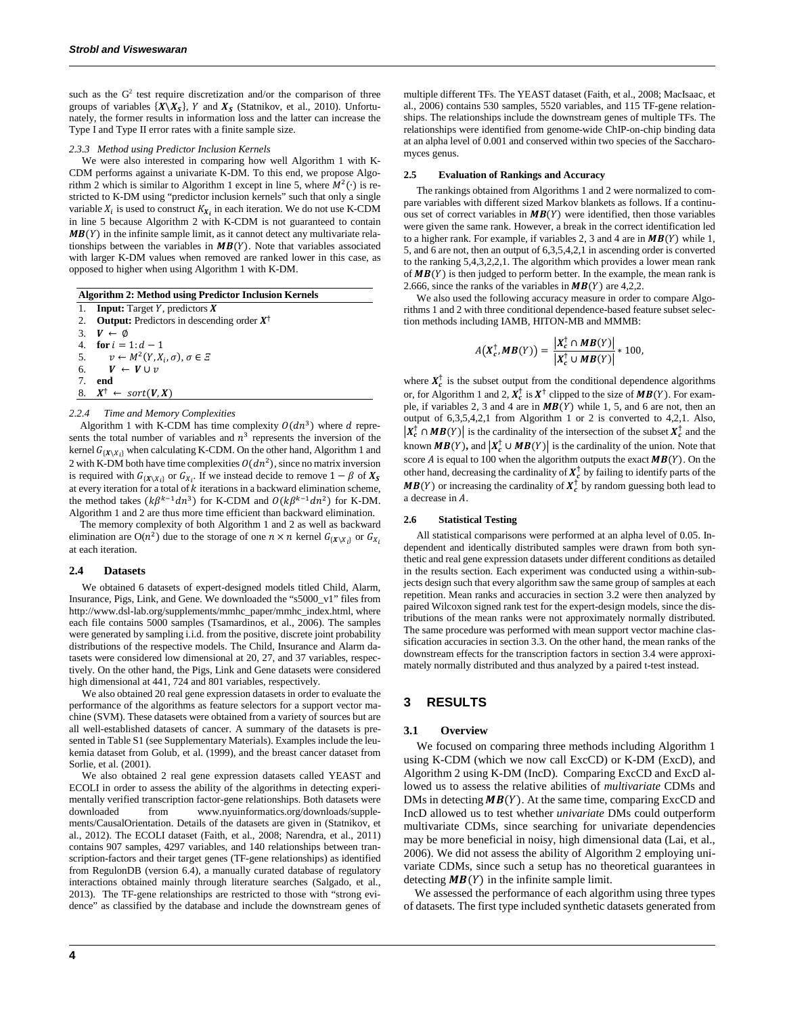such as the  $G<sup>2</sup>$  test require discretization and/or the comparison of three groups of variables  $\{X \setminus X_{\mathcal{S}}\}$ , Y and  $X_{\mathcal{S}}$  [\(Statnikov, et al., 2010\)](#page-6-12). Unfortunately, the former results in information loss and the latter can increase the Type I and Type II error rates with a finite sample size.

#### *2.3.3 Method using Predictor Inclusion Kernels*

We were also interested in comparing how well Algorithm 1 with K-CDM performs against a univariate K-DM. To this end, we propose Algorithm 2 which is similar to Algorithm 1 except in line 5, where  $M^2(\cdot)$  is restricted to K-DM using "predictor inclusion kernels" such that only a single variable  $X_i$  is used to construct  $K_{X_i}$  in each iteration. We do not use K-CDM in line 5 because Algorithm 2 with K-CDM is not guaranteed to contain  $MB(Y)$  in the infinite sample limit, as it cannot detect any multivariate relationships between the variables in  $MB(Y)$ . Note that variables associated with larger K-DM values when removed are ranked lower in this case, as opposed to higher when using Algorithm 1 with K-DM.

| <b>Algorithm 2: Method using Predictor Inclusion Kernels</b> |                                                                |  |  |  |
|--------------------------------------------------------------|----------------------------------------------------------------|--|--|--|
| 1.                                                           | <b>Input:</b> Target Y, predictors $X$                         |  |  |  |
|                                                              | 2. <b>Output:</b> Predictors in descending order $X^{\dagger}$ |  |  |  |
|                                                              | 3. $V \leftarrow \emptyset$                                    |  |  |  |
|                                                              | 4 for $i = 1$ : $d - 1$                                        |  |  |  |
|                                                              | 5. $v \leftarrow M^2(Y, X_i, \sigma), \sigma \in \Xi$          |  |  |  |
|                                                              | 6. $V \leftarrow V \cup v$                                     |  |  |  |
| 7.                                                           | end                                                            |  |  |  |
|                                                              | 8. $X^{\dagger} \leftarrow sort(V, X)$                         |  |  |  |
|                                                              |                                                                |  |  |  |

#### *2.2.4 Time and Memory Complexities*

Algorithm 1 with K-CDM has time complexity  $O(dn^3)$  where d represents the total number of variables and  $n<sup>3</sup>$  represents the inversion of the kernel  $G_{\{X \setminus X_i\}}$  when calculating K-CDM. On the other hand, Algorithm 1 and 2 with K-DM both have time complexities  $O(dn^2)$ , since no matrix inversion is required with  $G_{\{X \setminus X_i\}}$  or  $G_{X_i}$ . If we instead decide to remove  $1 - \beta$  of  $X_s$ at every iteration for a total of  $k$  iterations in a backward elimination scheme, the method takes  $(k\beta^{k-1}dn^3)$  for K-CDM and  $O(k\beta^{k-1}dn^2)$  for K-DM. Algorithm 1 and 2 are thus more time efficient than backward elimination.

The memory complexity of both Algorithm 1 and 2 as well as backward elimination are O(n<sup>2</sup>) due to the storage of one  $n \times n$  kernel  $G_{\{X \setminus X_i\}}$  or  $G_{X_i}$ at each iteration.

#### **2.4 Datasets**

We obtained 6 datasets of expert-designed models titled Child, Alarm, Insurance, Pigs, Link, and Gene. We downloaded the "s5000\_v1" files from http://www.dsl-lab.org/supplements/mmhc\_paper/mmhc\_index.html, where each file contains 5000 samples [\(Tsamardinos, et al., 2006\)](#page-6-26). The samples were generated by sampling i.i.d. from the positive, discrete joint probability distributions of the respective models. The Child, Insurance and Alarm datasets were considered low dimensional at 20, 27, and 37 variables, respectively. On the other hand, the Pigs, Link and Gene datasets were considered high dimensional at 441, 724 and 801 variables, respectively.

We also obtained 20 real gene expression datasets in order to evaluate the performance of the algorithms as feature selectors for a support vector machine (SVM). These datasets were obtained from a variety of sources but are all well-established datasets of cancer. A summary of the datasets is presented in Table S1 (see Supplementary Materials). Examples include the leukemia dataset from [Golub, et al. \(1999\),](#page-6-27) and the breast cancer dataset from [Sorlie, et al. \(2001\).](#page-6-28)

We also obtained 2 real gene expression datasets called YEAST and ECOLI in order to assess the ability of the algorithms in detecting experimentally verified transcription factor-gene relationships. Both datasets were downloaded from www.nyuinformatics.org/downloads/supplements/CausalOrientation. Details of the datasets are given in [\(Statnikov, et](#page-6-13)  [al., 2012\)](#page-6-13). The ECOLI dataset [\(Faith, et al., 2008;](#page-6-47) [Narendra, et al., 2011\)](#page-6-48) contains 907 samples, 4297 variables, and 140 relationships between transcription-factors and their target genes (TF-gene relationships) as identified from RegulonDB (version 6.4), a manually curated database of regulatory interactions obtained mainly through literature searches [\(Salgado, et al.,](#page-6-49)  [2013\)](#page-6-49). The TF-gene relationships are restricted to those with "strong evidence" as classified by the database and include the downstream genes of multiple different TFs. The YEAST dataset [\(Faith, et al., 2008;](#page-6-47) [MacIsaac, et](#page-6-50)  [al., 2006\)](#page-6-50) contains 530 samples, 5520 variables, and 115 TF-gene relationships. The relationships include the downstream genes of multiple TFs. The relationships were identified from genome-wide ChIP-on-chip binding data at an alpha level of 0.001 and conserved within two species of the Saccharomyces genus.

#### **2.5 Evaluation of Rankings and Accuracy**

The rankings obtained from Algorithms 1 and 2 were normalized to compare variables with different sized Markov blankets as follows. If a continuous set of correct variables in  $MB(Y)$  were identified, then those variables were given the same rank. However, a break in the correct identification led to a higher rank. For example, if variables 2, 3 and 4 are in  $MB(Y)$  while 1, 5, and 6 are not, then an output of 6,3,5,4,2,1 in ascending order is converted to the ranking 5,4,3,2,2,1. The algorithm which provides a lower mean rank of  $MB(Y)$  is then judged to perform better. In the example, the mean rank is 2.666, since the ranks of the variables in  $MB(Y)$  are 4,2,2.

We also used the following accuracy measure in order to compare Algorithms 1 and 2 with three conditional dependence-based feature subset selection methods including IAMB, HITON-MB and MMMB:

$$
A\big(\boldsymbol{X}_c^{\dagger},\boldsymbol{M}\boldsymbol{B}(Y)\big)=\frac{\big|\boldsymbol{X}_c^{\dagger}\cap\boldsymbol{M}\boldsymbol{B}(Y)\big|}{\big|\boldsymbol{X}_c^{\dagger}\cup\boldsymbol{M}\boldsymbol{B}(Y)\big|}*\,100,
$$

where  $X_c^{\dagger}$  is the subset output from the conditional dependence algorithms or, for Algorithm 1 and 2,  $X_c^{\dagger}$  is  $X^{\dagger}$  clipped to the size of  $MB(Y)$ . For example, if variables 2, 3 and 4 are in  $MB(Y)$  while 1, 5, and 6 are not, then an output of 6,3,5,4,2,1 from Algorithm 1 or 2 is converted to 4,2,1. Also,  $|X_c^{\dagger} \cap MB(Y)|$  is the cardinality of the intersection of the subset  $X_c^{\dagger}$  and the known  $MB(Y)$ , and  $|X_c^{\dagger} \cup MB(Y)|$  is the cardinality of the union. Note that score  $\vec{A}$  is equal to 100 when the algorithm outputs the exact  $\vec{MB}(Y)$ . On the other hand, decreasing the cardinality of  $X_c^{\dagger}$  by failing to identify parts of the  $MB(Y)$  or increasing the cardinality of  $X_c^{\dagger}$  by random guessing both lead to a decrease in  $A$ .

#### **2.6 Statistical Testing**

All statistical comparisons were performed at an alpha level of 0.05. Independent and identically distributed samples were drawn from both synthetic and real gene expression datasets under different conditions as detailed in the results section. Each experiment was conducted using a within-subjects design such that every algorithm saw the same group of samples at each repetition. Mean ranks and accuracies in section 3.2 were then analyzed by paired Wilcoxon signed rank test for the expert-design models, since the distributions of the mean ranks were not approximately normally distributed. The same procedure was performed with mean support vector machine classification accuracies in section 3.3. On the other hand, the mean ranks of the downstream effects for the transcription factors in section 3.4 were approximately normally distributed and thus analyzed by a paired t-test instead.

## **3 RESULTS**

#### **3.1 Overview**

We focused on comparing three methods including Algorithm 1 using K-CDM (which we now call ExcCD) or K-DM (ExcD), and Algorithm 2 using K-DM (IncD). Comparing ExcCD and ExcD allowed us to assess the relative abilities of *multivariate* CDMs and DMs in detecting  $MB(Y)$ . At the same time, comparing ExcCD and IncD allowed us to test whether *univariate* DMs could outperform multivariate CDMs, since searching for univariate dependencies may be more beneficial in noisy, high dimensional data [\(Lai, et al.,](#page-6-51)  [2006\)](#page-6-51). We did not assess the ability of Algorithm 2 employing univariate CDMs, since such a setup has no theoretical guarantees in detecting  $MB(Y)$  in the infinite sample limit.

We assessed the performance of each algorithm using three types of datasets. The first type included synthetic datasets generated from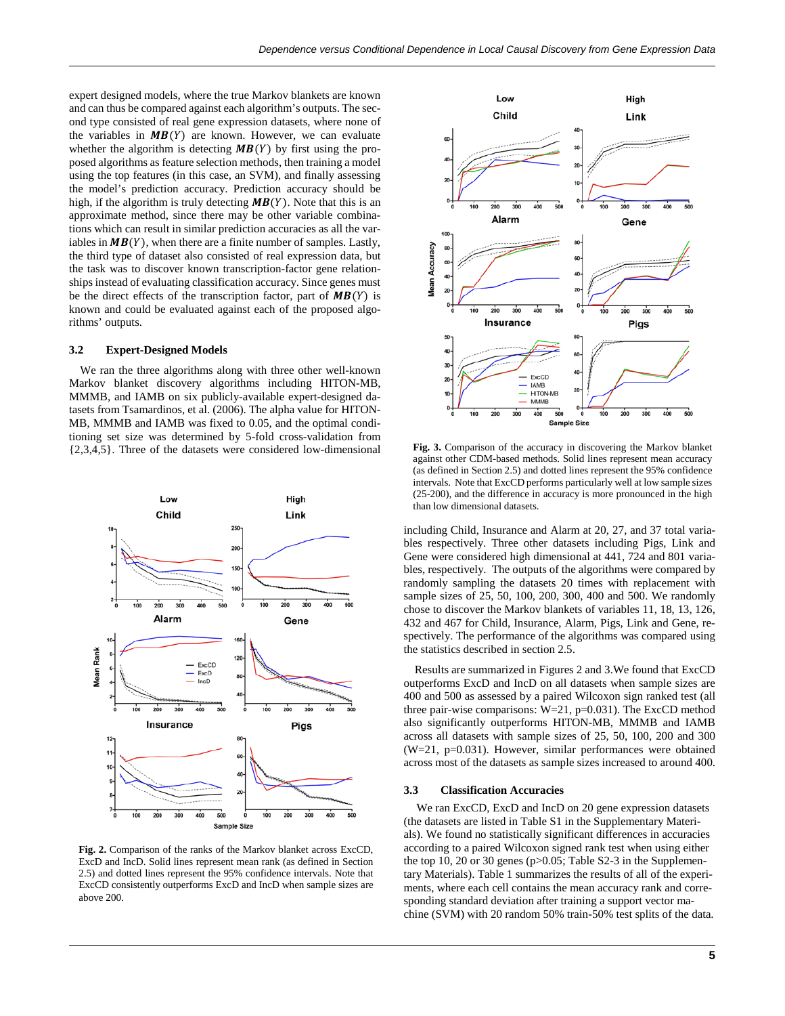expert designed models, where the true Markov blankets are known and can thus be compared against each algorithm's outputs. The second type consisted of real gene expression datasets, where none of the variables in  $MB(Y)$  are known. However, we can evaluate whether the algorithm is detecting  $MB(Y)$  by first using the proposed algorithms as feature selection methods, then training a model using the top features (in this case, an SVM), and finally assessing the model's prediction accuracy. Prediction accuracy should be high, if the algorithm is truly detecting  $MB(Y)$ . Note that this is an approximate method, since there may be other variable combinations which can result in similar prediction accuracies as all the variables in  $MB(Y)$ , when there are a finite number of samples. Lastly, the third type of dataset also consisted of real expression data, but the task was to discover known transcription-factor gene relationships instead of evaluating classification accuracy. Since genes must be the direct effects of the transcription factor, part of  $MB(Y)$  is known and could be evaluated against each of the proposed algorithms' outputs.

#### **3.2 Expert-Designed Models**

We ran the three algorithms along with three other well-known Markov blanket discovery algorithms including HITON-MB, MMMB, and IAMB on six publicly-available expert-designed datasets fro[m Tsamardinos, et al. \(2006\).](#page-6-26) The alpha value for HITON-MB, MMMB and IAMB was fixed to 0.05, and the optimal conditioning set size was determined by 5-fold cross-validation from {2,3,4,5}. Three of the datasets were considered low-dimensional



**Fig. 2.** Comparison of the ranks of the Markov blanket across ExcCD, ExcD and IncD. Solid lines represent mean rank (as defined in Section 2.5) and dotted lines represent the 95% confidence intervals. Note that ExcCD consistently outperforms ExcD and IncD when sample sizes are above 200.



**Fig. 3.** Comparison of the accuracy in discovering the Markov blanket against other CDM-based methods. Solid lines represent mean accuracy (as defined in Section 2.5) and dotted lines represent the 95% confidence intervals. Note that ExcCD performs particularly well at low sample sizes (25-200), and the difference in accuracy is more pronounced in the high than low dimensional datasets.

including Child, Insurance and Alarm at 20, 27, and 37 total variables respectively. Three other datasets including Pigs, Link and Gene were considered high dimensional at 441, 724 and 801 variables, respectively. The outputs of the algorithms were compared by randomly sampling the datasets 20 times with replacement with sample sizes of 25, 50, 100, 200, 300, 400 and 500. We randomly chose to discover the Markov blankets of variables 11, 18, 13, 126, 432 and 467 for Child, Insurance, Alarm, Pigs, Link and Gene, respectively. The performance of the algorithms was compared using the statistics described in section 2.5.

Results are summarized in Figures 2 and 3.We found that ExcCD outperforms ExcD and IncD on all datasets when sample sizes are 400 and 500 as assessed by a paired Wilcoxon sign ranked test (all three pair-wise comparisons: W=21, p=0.031). The ExcCD method also significantly outperforms HITON-MB, MMMB and IAMB across all datasets with sample sizes of 25, 50, 100, 200 and 300 (W=21, p=0.031). However, similar performances were obtained across most of the datasets as sample sizes increased to around 400.

## **3.3 Classification Accuracies**

We ran ExcCD, ExcD and IncD on 20 gene expression datasets (the datasets are listed in Table S1 in the Supplementary Materials). We found no statistically significant differences in accuracies according to a paired Wilcoxon signed rank test when using either the top 10, 20 or 30 genes (p>0.05; Table S2-3 in the Supplementary Materials). Table 1 summarizes the results of all of the experiments, where each cell contains the mean accuracy rank and corresponding standard deviation after training a support vector machine (SVM) with 20 random 50% train-50% test splits of the data.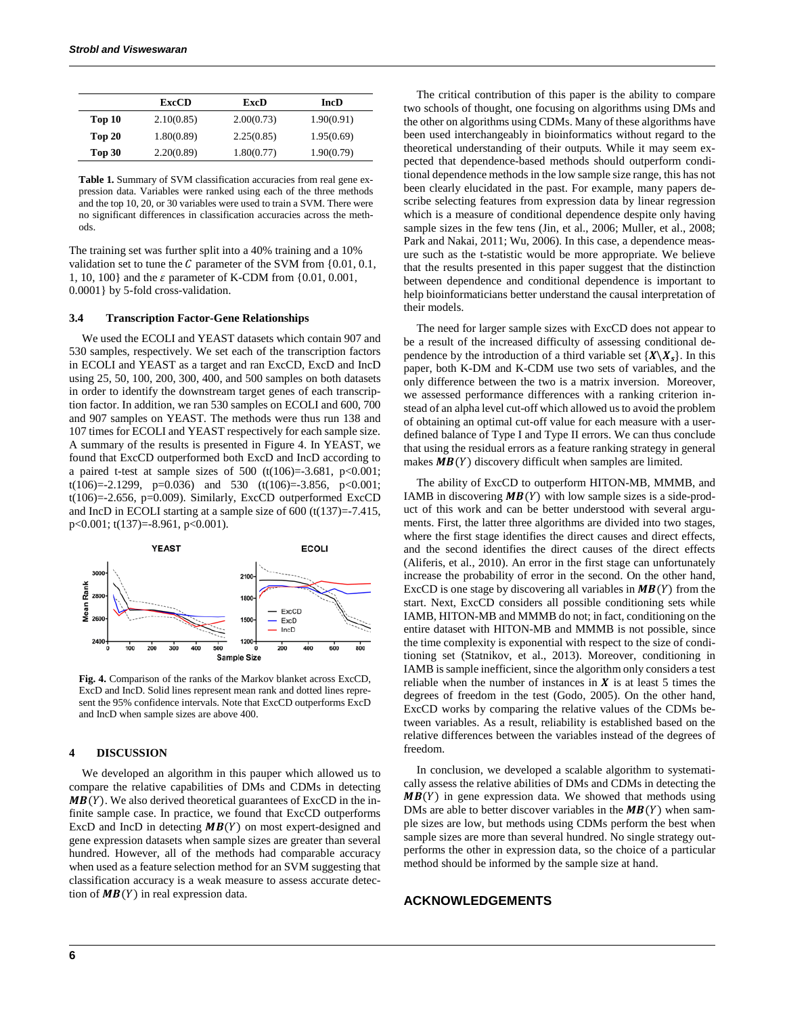|        | <b>ExcCD</b> | ExcD       | <b>IncD</b> |
|--------|--------------|------------|-------------|
| Top 10 | 2.10(0.85)   | 2.00(0.73) | 1.90(0.91)  |
| Top 20 | 1.80(0.89)   | 2.25(0.85) | 1.95(0.69)  |
| Top 30 | 2.20(0.89)   | 1.80(0.77) | 1.90(0.79)  |

**Table 1.** Summary of SVM classification accuracies from real gene expression data. Variables were ranked using each of the three methods and the top 10, 20, or 30 variables were used to train a SVM. There were no significant differences in classification accuracies across the methods.

The training set was further split into a 40% training and a 10% validation set to tune the  $C$  parameter of the SVM from  $\{0.01, 0.1,$ 1, 10, 100} and the  $\varepsilon$  parameter of K-CDM from  $\{0.01, 0.001,$ 0.0001} by 5-fold cross-validation.

#### **3.4 Transcription Factor-Gene Relationships**

We used the ECOLI and YEAST datasets which contain 907 and 530 samples, respectively. We set each of the transcription factors in ECOLI and YEAST as a target and ran ExcCD, ExcD and IncD using 25, 50, 100, 200, 300, 400, and 500 samples on both datasets in order to identify the downstream target genes of each transcription factor. In addition, we ran 530 samples on ECOLI and 600, 700 and 907 samples on YEAST. The methods were thus run 138 and 107 times for ECOLI and YEAST respectively for each sample size. A summary of the results is presented in Figure 4. In YEAST, we found that ExcCD outperformed both ExcD and IncD according to a paired t-test at sample sizes of 500 (t(106)=-3.681, p<0.001; t(106)=-2.1299, p=0.036) and 530 (t(106)=-3.856, p<0.001;  $t(106)=2.656$ ,  $p=0.009$ ). Similarly, ExcCD outperformed ExcCD and IncD in ECOLI starting at a sample size of 600 (t(137)=-7.415, p<0.001; t(137)=-8.961, p<0.001).



**Fig. 4.** Comparison of the ranks of the Markov blanket across ExcCD, ExcD and IncD. Solid lines represent mean rank and dotted lines represent the 95% confidence intervals. Note that ExcCD outperforms ExcD and IncD when sample sizes are above 400.

#### **4 DISCUSSION**

We developed an algorithm in this pauper which allowed us to compare the relative capabilities of DMs and CDMs in detecting  $MB(Y)$ . We also derived theoretical guarantees of ExcCD in the infinite sample case. In practice, we found that ExcCD outperforms ExcD and IncD in detecting  $MB(Y)$  on most expert-designed and gene expression datasets when sample sizes are greater than several hundred. However, all of the methods had comparable accuracy when used as a feature selection method for an SVM suggesting that classification accuracy is a weak measure to assess accurate detection of  $MB(Y)$  in real expression data.

The critical contribution of this paper is the ability to compare two schools of thought, one focusing on algorithms using DMs and the other on algorithms using CDMs. Many of these algorithms have been used interchangeably in bioinformatics without regard to the theoretical understanding of their outputs. While it may seem expected that dependence-based methods should outperform conditional dependence methods in the low sample size range, this has not been clearly elucidated in the past. For example, many papers describe selecting features from expression data by linear regression which is a measure of conditional dependence despite only having sample sizes in the few tens [\(Jin, et al., 2006;](#page-6-52) [Muller, et al., 2008;](#page-6-53) [Park and Nakai, 2011;](#page-6-54) [Wu, 2006\)](#page-6-55). In this case, a dependence measure such as the t-statistic would be more appropriate. We believe that the results presented in this paper suggest that the distinction between dependence and conditional dependence is important to help bioinformaticians better understand the causal interpretation of their models.

The need for larger sample sizes with ExcCD does not appear to be a result of the increased difficulty of assessing conditional dependence by the introduction of a third variable set  ${X \backslash X_s}$ . In this paper, both K-DM and K-CDM use two sets of variables, and the only difference between the two is a matrix inversion. Moreover, we assessed performance differences with a ranking criterion instead of an alpha level cut-off which allowed us to avoid the problem of obtaining an optimal cut-off value for each measure with a userdefined balance of Type I and Type II errors. We can thus conclude that using the residual errors as a feature ranking strategy in general makes  $MB(Y)$  discovery difficult when samples are limited.

The ability of ExcCD to outperform HITON-MB, MMMB, and IAMB in discovering  $MB(Y)$  with low sample sizes is a side-product of this work and can be better understood with several arguments. First, the latter three algorithms are divided into two stages, where the first stage identifies the direct causes and direct effects, and the second identifies the direct causes of the direct effects [\(Aliferis, et al., 2010\)](#page-6-24). An error in the first stage can unfortunately increase the probability of error in the second. On the other hand, ExcCD is one stage by discovering all variables in  $MB(Y)$  from the start. Next, ExcCD considers all possible conditioning sets while IAMB, HITON-MB and MMMB do not; in fact, conditioning on the entire dataset with HITON-MB and MMMB is not possible, since the time complexity is exponential with respect to the size of conditioning set [\(Statnikov, et al., 2013\)](#page-6-25). Moreover, conditioning in IAMB is sample inefficient, since the algorithm only considers a test reliable when the number of instances in  $X$  is at least 5 times the degrees of freedom in the test [\(Godo, 2005\)](#page-6-56). On the other hand, ExcCD works by comparing the relative values of the CDMs between variables. As a result, reliability is established based on the relative differences between the variables instead of the degrees of freedom.

In conclusion, we developed a scalable algorithm to systematically assess the relative abilities of DMs and CDMs in detecting the  $MB(Y)$  in gene expression data. We showed that methods using DMs are able to better discover variables in the  $MB(Y)$  when sample sizes are low, but methods using CDMs perform the best when sample sizes are more than several hundred. No single strategy outperforms the other in expression data, so the choice of a particular method should be informed by the sample size at hand.

## **ACKNOWLEDGEMENTS**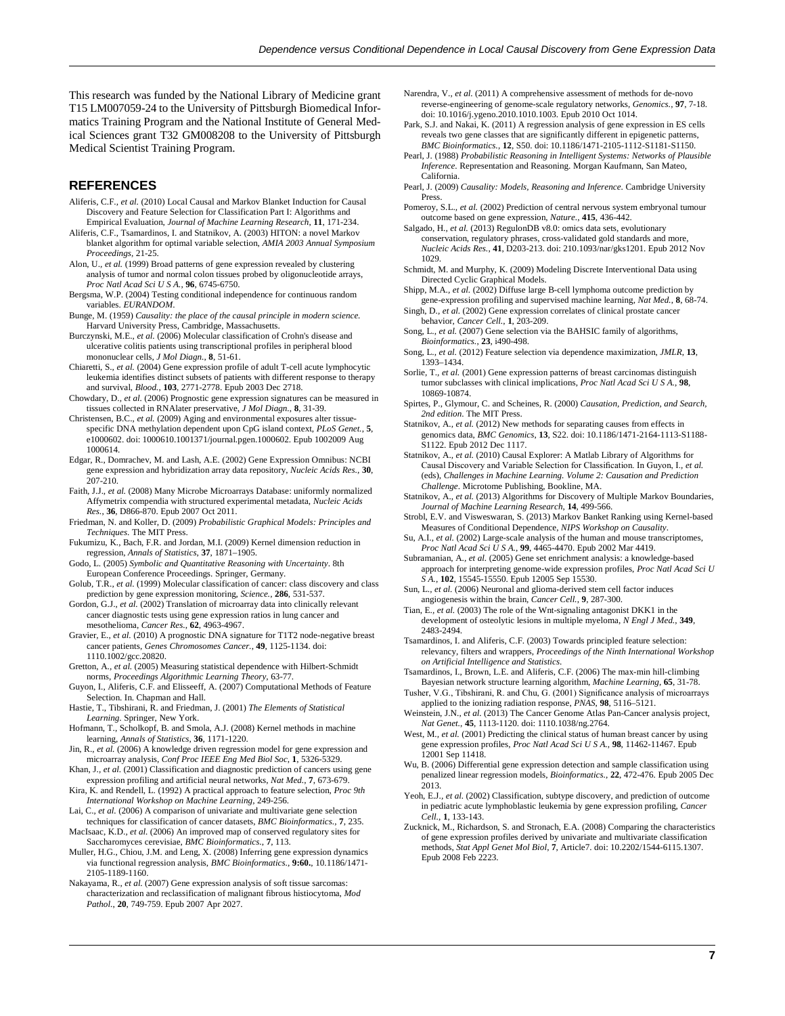This research was funded by the National Library of Medicine grant T15 LM007059-24 to the University of Pittsburgh Biomedical Informatics Training Program and the National Institute of General Medical Sciences grant T32 GM008208 to the University of Pittsburgh Medical Scientist Training Program.

## **REFERENCES**

- <span id="page-6-24"></span>Aliferis, C.F.*, et al.* (2010) Local Causal and Markov Blanket Induction for Causal Discovery and Feature Selection for Classification Part I: Algorithms and Empirical Evaluation, *Journal of Machine Learning Research*, **11**, 171-234.
- <span id="page-6-10"></span>Aliferis, C.F., Tsamardinos, I. and Statnikov, A. (2003) HITON: a novel Markov blanket algorithm for optimal variable selection, *AMIA 2003 Annual Symposium Proceedings*, 21-25.
- <span id="page-6-29"></span>Alon, U.*, et al.* (1999) Broad patterns of gene expression revealed by clustering analysis of tumor and normal colon tissues probed by oligonucleotide arrays, *Proc Natl Acad Sci U S A.*, **96**, 6745-6750.
- <span id="page-6-23"></span>Bergsma, W.P. (2004) Testing conditional independence for continuous random variables. *EURANDOM*.
- <span id="page-6-0"></span>Bunge, M. (1959) *Causality: the place of the causal principle in modern science.* Harvard University Press, Cambridge, Massachusetts.
- <span id="page-6-30"></span>Burczynski, M.E.*, et al.* (2006) Molecular classification of Crohn's disease and ulcerative colitis patients using transcriptional profiles in peripheral blood mononuclear cells, *J Mol Diagn.*, **8**, 51-61.
- <span id="page-6-31"></span>Chiaretti, S.*, et al.* (2004) Gene expression profile of adult T-cell acute lymphocytic leukemia identifies distinct subsets of patients with different response to therapy and survival, *Blood.*, **103**, 2771-2778. Epub 2003 Dec 2718.
- <span id="page-6-32"></span>Chowdary, D.*, et al.* (2006) Prognostic gene expression signatures can be measured in tissues collected in RNAlater preservative, *J Mol Diagn.*, **8**, 31-39.
- <span id="page-6-33"></span>Christensen, B.C.*, et al.* (2009) Aging and environmental exposures alter tissuespecific DNA methylation dependent upon CpG island context, *PLoS Genet.*, **5**, e1000602. doi: 1000610.1001371/journal.pgen.1000602. Epub 1002009 Aug 1000614.
- <span id="page-6-2"></span>Edgar, R., Domrachev, M. and Lash, A.E. (2002) Gene Expression Omnibus: NCBI gene expression and hybridization array data repository, *Nucleic Acids Res.*, **30**, 207-210.
- <span id="page-6-47"></span>Faith, J.J.*, et al.* (2008) Many Microbe Microarrays Database: uniformly normalized Affymetrix compendia with structured experimental metadata, *Nucleic Acids Res.*, **36**, D866-870. Epub 2007 Oct 2011.
- <span id="page-6-19"></span>Friedman, N. and Koller, D. (2009) *Probabilistic Graphical Models: Principles and Techniques*. The MIT Press.
- <span id="page-6-18"></span>Fukumizu, K., Bach, F.R. and Jordan, M.I. (2009) Kernel dimension reduction in regression, *Annals of Statistics*, **37**, 1871–1905.
- <span id="page-6-56"></span>Godo, L. (2005) *Symbolic and Quantitative Reasoning with Uncertainty*. 8th European Conference Proceedings. Springer, Germany.
- <span id="page-6-27"></span>Golub, T.R.*, et al.* (1999) Molecular classification of cancer: class discovery and class prediction by gene expression monitoring, *Science.*, **286**, 531-537.
- <span id="page-6-34"></span>Gordon, G.J.*, et al.* (2002) Translation of microarray data into clinically relevant cancer diagnostic tests using gene expression ratios in lung cancer and mesothelioma, *Cancer Res.*, **62**, 4963-4967.
- <span id="page-6-35"></span>Gravier, E.*, et al.* (2010) A prognostic DNA signature for T1T2 node-negative breast cancer patients, *Genes Chromosomes Cancer.*, **49**, 1125-1134. doi: 1110.1002/gcc.20820.
- <span id="page-6-16"></span>Gretton, A.*, et al.* (2005) Measuring statistical dependence with Hilbert-Schmidt norms, *Proceedings Algorithmic Learning Theory*, 63-77.
- <span id="page-6-22"></span>Guyon, I., Aliferis, C.F. and Elisseeff, A. (2007) Computational Methods of Feature Selection. In. Chapman and Hall.
- <span id="page-6-4"></span>Hastie, T., Tibshirani, R. and Friedman, J. (2001) *The Elements of Statistical Learning*. Springer, New York.
- <span id="page-6-15"></span>Hofmann, T., Scholkopf, B. and Smola, A.J. (2008) Kernel methods in machine learning, *Annals of Statistics*, **36**, 1171-1220.
- <span id="page-6-52"></span>Jin, R.*, et al.* (2006) A knowledge driven regression model for gene expression and microarray analysis, *Conf Proc IEEE Eng Med Biol Soc*, **1**, 5326-5329.
- <span id="page-6-36"></span>Khan, J., *et al.* (2001) Classification and diagnostic prediction of cancers using gene expression profiling and artificial neural networks, *Nat Med.*, **7**, 673-679.
- <span id="page-6-5"></span>Kira, K. and Rendell, L. (1992) A practical approach to feature selection, *Proc 9th International Workshop on Machine Learning*, 249-256.
- <span id="page-6-51"></span>Lai, C.*, et al.* (2006) A comparison of univariate and multivariate gene selection techniques for classification of cancer datasets, *BMC Bioinformatics.*, **7**, 235.
- <span id="page-6-50"></span>MacIsaac, K.D.*, et al.* (2006) An improved map of conserved regulatory sites for Saccharomyces cerevisiae, *BMC Bioinformatics.*, **7**, 113.
- <span id="page-6-53"></span>Muller, H.G., Chiou, J.M. and Leng, X. (2008) Inferring gene expression dynamics via functional regression analysis, *BMC Bioinformatics.*, **9:60.**, 10.1186/1471- 2105-1189-1160.
- <span id="page-6-37"></span>Nakayama, R.*, et al.* (2007) Gene expression analysis of soft tissue sarcomas: characterization and reclassification of malignant fibrous histiocytoma, *Mod Pathol.*, **20**, 749-759. Epub 2007 Apr 2027.
- <span id="page-6-48"></span>Narendra, V.*, et al.* (2011) A comprehensive assessment of methods for de-novo reverse-engineering of genome-scale regulatory networks, *Genomics.*, **97**, 7-18. doi: 10.1016/j.ygeno.2010.1010.1003. Epub 2010 Oct 1014.
- <span id="page-6-54"></span>Park, S.J. and Nakai, K. (2011) A regression analysis of gene expression in ES cells reveals two gene classes that are significantly different in epigenetic patterns, *BMC Bioinformatics.*, **12**, S50. doi: 10.1186/1471-2105-1112-S1181-S1150.
- <span id="page-6-14"></span>Pearl, J. (1988) *Probabilistic Reasoning in Intelligent Systems: Networks of Plausible Inference*. Representation and Reasoning. Morgan Kaufmann, San Mateo, California.
- <span id="page-6-21"></span>Pearl, J. (2009) *Causality: Models, Reasoning and Inference*. Cambridge University Press.
- <span id="page-6-38"></span>Pomeroy, S.L.*, et al.* (2002) Prediction of central nervous system embryonal tumour outcome based on gene expression, *Nature.*, **415**, 436-442.
- <span id="page-6-49"></span>Salgado, H.*, et al.* (2013) RegulonDB v8.0: omics data sets, evolutionary conservation, regulatory phrases, cross-validated gold standards and more, *Nucleic Acids Res.*, **41**, D203-213. doi: 210.1093/nar/gks1201. Epub 2012 Nov 1029.
- <span id="page-6-20"></span>Schmidt, M. and Murphy, K. (2009) Modeling Discrete Interventional Data using Directed Cyclic Graphical Models.
- <span id="page-6-39"></span>Shipp, M.A.*, et al.* (2002) Diffuse large B-cell lymphoma outcome prediction by
- <span id="page-6-40"></span>gene-expression profiling and supervised machine learning, *Nat Med.*, **8**, 68-74. Singh, D.*, et al.* (2002) Gene expression correlates of clinical prostate cancer
- <span id="page-6-6"></span>behavior, *Cancer Cell.*, **1**, 203-209. Song, L.*, et al.* (2007) Gene selection via the BAHSIC family of algorithms, *Bioinformatics.*, **23**, i490-498.
- <span id="page-6-17"></span>Song, L.*, et al.* (2012) Feature selection via dependence maximization, *JMLR*, **13**, 1393–1434.
- <span id="page-6-28"></span>Sorlie, T.*, et al.* (2001) Gene expression patterns of breast carcinomas distinguish tumor subclasses with clinical implications, *Proc Natl Acad Sci U S A.*, **98**, 10869-10874.
- <span id="page-6-8"></span>Spirtes, P., Glymour, C. and Scheines, R. (2000) *Causation, Prediction, and Search, 2nd edition*. The MIT Press.
- <span id="page-6-13"></span>Statnikov, A.*, et al.* (2012) New methods for separating causes from effects in genomics data, *BMC Genomics*, **13**, S22. doi: 10.1186/1471-2164-1113-S1188- S1122. Epub 2012 Dec 1117.

<span id="page-6-12"></span>Statnikov, A.*, et al.* (2010) Causal Explorer: A Matlab Library of Algorithms for Causal Discovery and Variable Selection for Classification. In Guyon, I.*, et al.* (eds), *Challenges in Machine Learning. Volume 2: Causation and Prediction Challenge*. Microtome Publishing, Bookline, MA.

- <span id="page-6-25"></span>Statnikov, A.*, et al.* (2013) Algorithms for Discovery of Multiple Markov Boundaries, *Journal of Machine Learning Research*, **14**, 499-566.
- <span id="page-6-11"></span>Strobl, E.V. and Visweswaran, S. (2013) Markov Banket Ranking using Kernel-based Measures of Conditional Dependence, *NIPS Workshop on Causality*.
- <span id="page-6-41"></span>Su, A.I.*, et al.* (2002) Large-scale analysis of the human and mouse transcriptomes, *Proc Natl Acad Sci U S A.*, **99**, 4465-4470. Epub 2002 Mar 4419.
- <span id="page-6-42"></span>Subramanian, A.*, et al.* (2005) Gene set enrichment analysis: a knowledge-based approach for interpreting genome-wide expression profiles, *Proc Natl Acad Sci U S A.*, **102**, 15545-15550. Epub 12005 Sep 15530.
- <span id="page-6-43"></span>Sun, L.*, et al.* (2006) Neuronal and glioma-derived stem cell factor induces angiogenesis within the brain, *Cancer Cell.*, **9**, 287-300.
- <span id="page-6-44"></span>Tian, E.*, et al.* (2003) The role of the Wnt-signaling antagonist DKK1 in the development of osteolytic lesions in multiple myeloma, *N Engl J Med.*, **349**, 2483-2494.
- <span id="page-6-9"></span>Tsamardinos, I. and Aliferis, C.F. (2003) Towards principled feature selection: relevancy, filters and wrappers, *Proceedings of the Ninth International Workshop on Artificial Intelligence and Statistics*.
- <span id="page-6-26"></span>Tsamardinos, I., Brown, L.E. and Aliferis, C.F. (2006) The max-min hill-climbing Bayesian network structure learning algorithm, *Machine Learning*, **65**, 31-78.
- <span id="page-6-3"></span>Tusher, V.G., Tibshirani, R. and Chu, G. (2001) Significance analysis of microarrays applied to the ionizing radiation response, *PNAS*, **98**, 5116–5121.
- <span id="page-6-1"></span>Weinstein, J.N.*, et al.* (2013) The Cancer Genome Atlas Pan-Cancer analysis project, *Nat Genet.*, **45**, 1113-1120. doi: 1110.1038/ng.2764.
- <span id="page-6-45"></span>West, M., et al. (2001) Predicting the clinical status of human breast cancer by using gene expression profiles, *Proc Natl Acad Sci U S A.*, **98**, 11462-11467. Epub 12001 Sep 11418.
- <span id="page-6-55"></span>Wu, B. (2006) Differential gene expression detection and sample classification using penalized linear regression models, *Bioinformatics.*, **22**, 472-476. Epub 2005 Dec 2013.
- <span id="page-6-46"></span>Yeoh, E.J., et al. (2002) Classification, subtype discovery, and prediction of outcome in pediatric acute lymphoblastic leukemia by gene expression profiling, *Cancer Cell.*, **1**, 133-143.
- <span id="page-6-7"></span>Zucknick, M., Richardson, S. and Stronach, E.A. (2008) Comparing the characteristics of gene expression profiles derived by univariate and multivariate classification methods, *Stat Appl Genet Mol Biol*, **7**, Article7. doi: 10.2202/1544-6115.1307. Epub 2008 Feb 2223.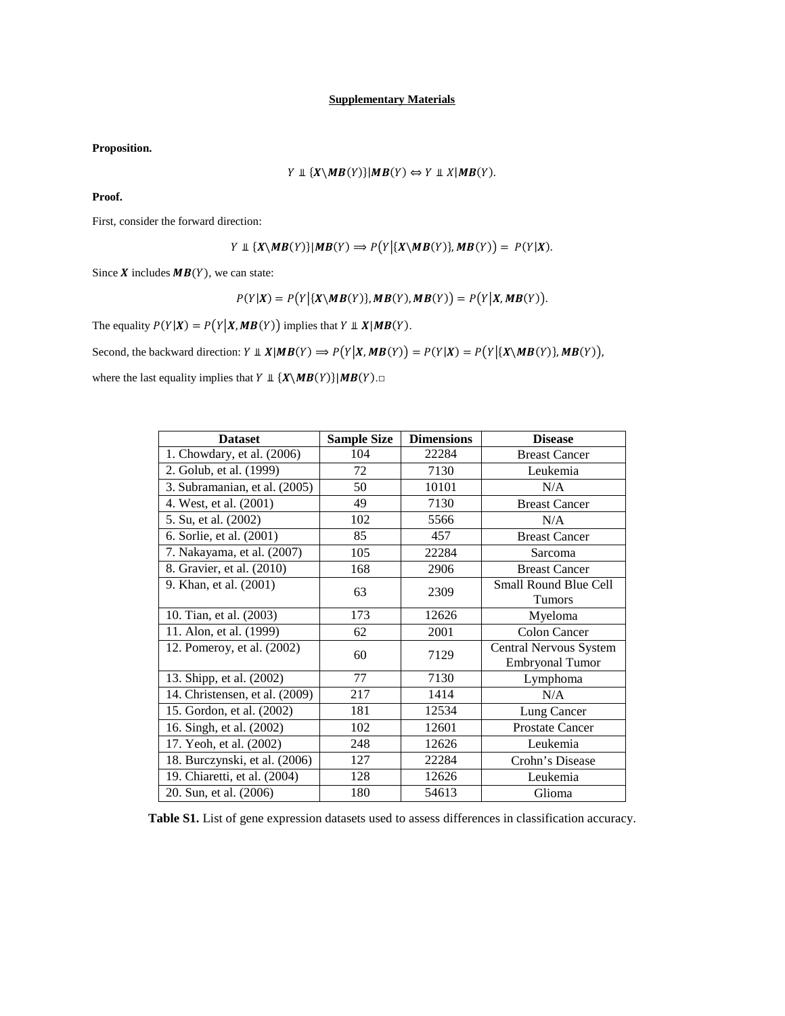**Proposition.**

$$
Y \perp \{X \setminus MB(Y)\} | MB(Y) \Leftrightarrow Y \perp \perp X | MB(Y).
$$

**Proof.** 

First, consider the forward direction:

$$
Y \perp \{X \setminus MB(Y)\} | MB(Y) \Rightarrow P(Y | \{X \setminus MB(Y)\}, MB(Y)) = P(Y | X)
$$

Since  $X$  includes  $MB(Y)$ , we can state:

$$
P(Y|X) = P(Y|\{X\setminus MB(Y)\}, MB(Y), MB(Y)) = P(Y|X, MB(Y)).
$$

The equality  $P(Y|X) = P(Y|X, MB(Y))$  implies that  $Y \perp X | MB(Y)$ .

Second, the backward direction:  $Y \perp \!\!\!\perp X | MB(Y) \Rightarrow P(Y | X, MB(Y)) = P(Y | X) = P(Y | \{X \setminus MB(Y)\}, MB(Y)),$ 

where the last equality implies that  $Y \perp \{X \setminus MB(Y)\} | MB(Y) \square$ 

| <b>Dataset</b>                 | <b>Sample Size</b> | <b>Dimensions</b> | <b>Disease</b>               |
|--------------------------------|--------------------|-------------------|------------------------------|
| 1. Chowdary, et al. (2006)     | 104                | 22284             | <b>Breast Cancer</b>         |
| 2. Golub, et al. (1999)        | 72                 | 7130              | Leukemia                     |
| 3. Subramanian, et al. (2005)  | 50                 | 10101             | N/A                          |
| 4. West, et al. (2001)         | 49                 | 7130              | <b>Breast Cancer</b>         |
| 5. Su, et al. (2002)           | 102                | 5566              | N/A                          |
| 6. Sorlie, et al. (2001)       | 85                 | 457               | <b>Breast Cancer</b>         |
| 7. Nakayama, et al. (2007)     | 105                | 22284             | Sarcoma                      |
| 8. Gravier, et al. (2010)      | 168                | 2906              | <b>Breast Cancer</b>         |
| 9. Khan, et al. (2001)         | 63                 | 2309              | <b>Small Round Blue Cell</b> |
|                                |                    |                   | Tumors                       |
| 10. Tian, et al. (2003)        | 173                | 12626             | Myeloma                      |
| 11. Alon, et al. (1999)        | 62                 | 2001              | <b>Colon Cancer</b>          |
| 12. Pomeroy, et al. (2002)     | 60                 | 7129              | Central Nervous System       |
|                                |                    |                   | Embryonal Tumor              |
| 13. Shipp, et al. (2002)       | 77                 | 7130              | Lymphoma                     |
| 14. Christensen, et al. (2009) | 217                | 1414              | N/A                          |
| 15. Gordon, et al. (2002)      | 181                | 12534             | Lung Cancer                  |
| 16. Singh, et al. (2002)       | 102                | 12601             | <b>Prostate Cancer</b>       |
| 17. Yeoh, et al. (2002)        | 248                | 12626             | Leukemia                     |
| 18. Burczynski, et al. (2006)  | 127                | 22284             | Crohn's Disease              |
| 19. Chiaretti, et al. (2004)   | 128                | 12626             | Leukemia                     |
| 20. Sun, et al. (2006)         | 180                | 54613             | Glioma                       |

**Table S1.** List of gene expression datasets used to assess differences in classification accuracy.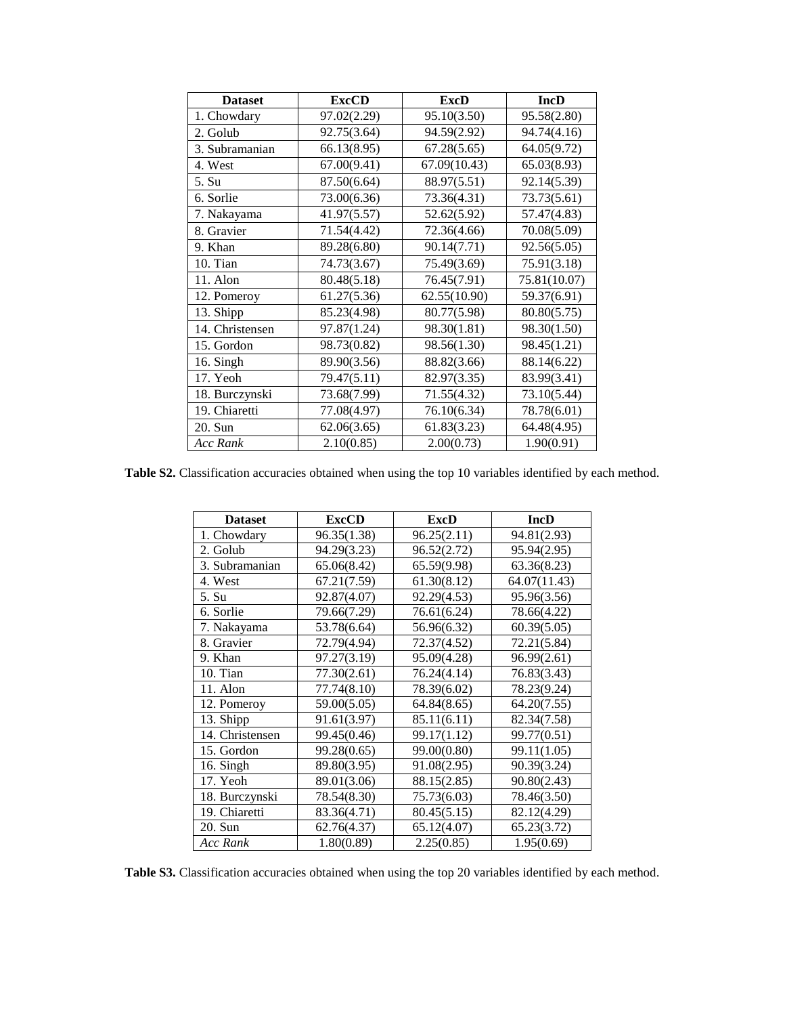| <b>Dataset</b>  | <b>ExcCD</b> | <b>ExcD</b>  | <b>IncD</b>  |
|-----------------|--------------|--------------|--------------|
| 1. Chowdary     | 97.02(2.29)  | 95.10(3.50)  | 95.58(2.80)  |
| 2. Golub        | 92.75(3.64)  | 94.59(2.92)  | 94.74(4.16)  |
| 3. Subramanian  | 66.13(8.95)  | 67.28(5.65)  | 64.05(9.72)  |
| 4. West         | 67.00(9.41)  | 67.09(10.43) | 65.03(8.93)  |
| 5. Su           | 87.50(6.64)  | 88.97(5.51)  | 92.14(5.39)  |
| 6. Sorlie       | 73.00(6.36)  | 73.36(4.31)  | 73.73(5.61)  |
| 7. Nakayama     | 41.97(5.57)  | 52.62(5.92)  | 57.47(4.83)  |
| 8. Gravier      | 71.54(4.42)  | 72.36(4.66)  | 70.08(5.09)  |
| 9. Khan         | 89.28(6.80)  | 90.14(7.71)  | 92.56(5.05)  |
| 10. Tian        | 74.73(3.67)  | 75.49(3.69)  | 75.91(3.18)  |
| 11. Alon        | 80.48(5.18)  | 76.45(7.91)  | 75.81(10.07) |
| 12. Pomeroy     | 61.27(5.36)  | 62.55(10.90) | 59.37(6.91)  |
| 13. Shipp       | 85.23(4.98)  | 80.77(5.98)  | 80.80(5.75)  |
| 14. Christensen | 97.87(1.24)  | 98.30(1.81)  | 98.30(1.50)  |
| 15. Gordon      | 98.73(0.82)  | 98.56(1.30)  | 98.45(1.21)  |
| 16. Singh       | 89.90(3.56)  | 88.82(3.66)  | 88.14(6.22)  |
| 17. Yeoh        | 79.47(5.11)  | 82.97(3.35)  | 83.99(3.41)  |
| 18. Burczynski  | 73.68(7.99)  | 71.55(4.32)  | 73.10(5.44)  |
| 19. Chiaretti   | 77.08(4.97)  | 76.10(6.34)  | 78.78(6.01)  |
| 20. Sun         | 62.06(3.65)  | 61.83(3.23)  | 64.48(4.95)  |
| Acc Rank        | 2.10(0.85)   | 2.00(0.73)   | 1.90(0.91)   |

**Table S2.** Classification accuracies obtained when using the top 10 variables identified by each method.

| <b>Dataset</b>  | <b>ExcCD</b> | <b>ExcD</b> | <b>IncD</b>  |
|-----------------|--------------|-------------|--------------|
| 1. Chowdary     | 96.35(1.38)  | 96.25(2.11) | 94.81(2.93)  |
| 2. Golub        | 94.29(3.23)  | 96.52(2.72) | 95.94(2.95)  |
| 3. Subramanian  | 65.06(8.42)  | 65.59(9.98) | 63.36(8.23)  |
| 4. West         | 67.21(7.59)  | 61.30(8.12) | 64.07(11.43) |
| 5. Su           | 92.87(4.07)  | 92.29(4.53) | 95.96(3.56)  |
| 6. Sorlie       | 79.66(7.29)  | 76.61(6.24) | 78.66(4.22)  |
| 7. Nakayama     | 53.78(6.64)  | 56.96(6.32) | 60.39(5.05)  |
| 8. Gravier      | 72.79(4.94)  | 72.37(4.52) | 72.21(5.84)  |
| 9. Khan         | 97.27(3.19)  | 95.09(4.28) | 96.99(2.61)  |
| 10. Tian        | 77.30(2.61)  | 76.24(4.14) | 76.83(3.43)  |
| 11. Alon        | 77.74(8.10)  | 78.39(6.02) | 78.23(9.24)  |
| 12. Pomeroy     | 59.00(5.05)  | 64.84(8.65) | 64.20(7.55)  |
| 13. Shipp       | 91.61(3.97)  | 85.11(6.11) | 82.34(7.58)  |
| 14. Christensen | 99.45(0.46)  | 99.17(1.12) | 99.77(0.51)  |
| 15. Gordon      | 99.28(0.65)  | 99.00(0.80) | 99.11(1.05)  |
| 16. Singh       | 89.80(3.95)  | 91.08(2.95) | 90.39(3.24)  |
| 17. Yeoh        | 89.01(3.06)  | 88.15(2.85) | 90.80(2.43)  |
| 18. Burczynski  | 78.54(8.30)  | 75.73(6.03) | 78.46(3.50)  |
| 19. Chiaretti   | 83.36(4.71)  | 80.45(5.15) | 82.12(4.29)  |
| 20. Sun         | 62.76(4.37)  | 65.12(4.07) | 65.23(3.72)  |
| <b>Acc Rank</b> | 1.80(0.89)   | 2.25(0.85)  | 1.95(0.69)   |

**Table S3.** Classification accuracies obtained when using the top 20 variables identified by each method.